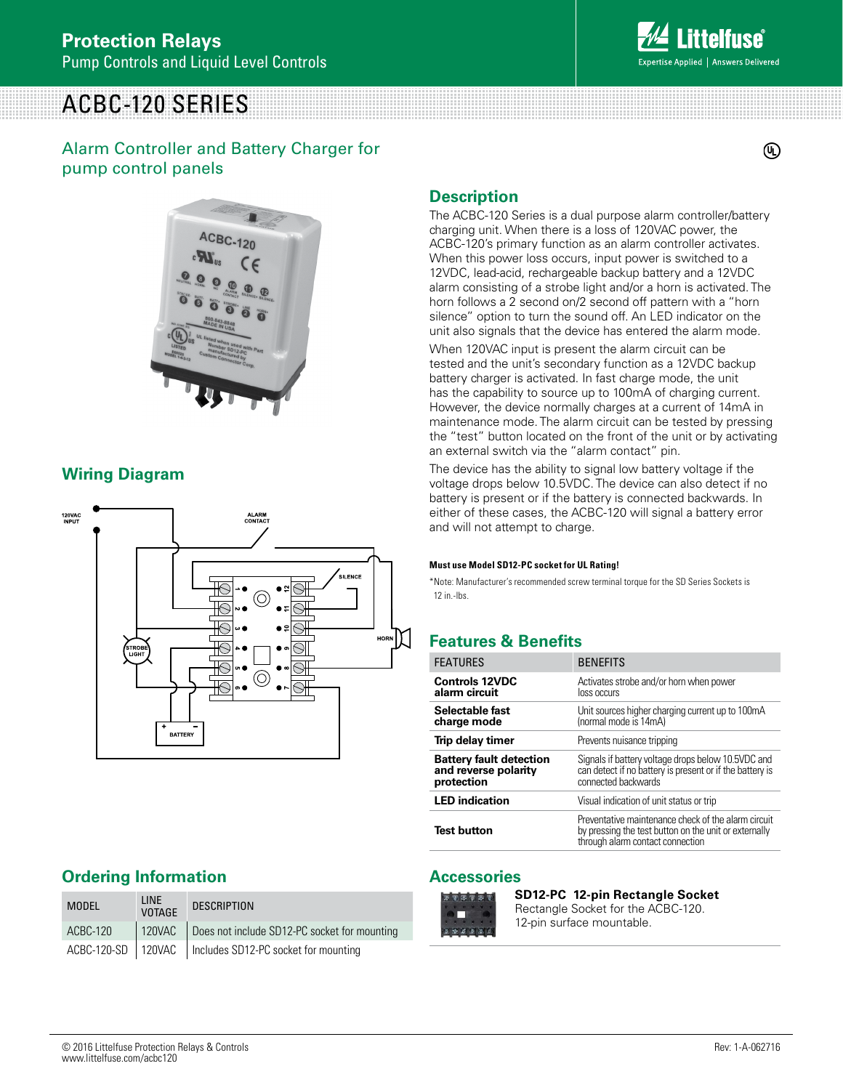# ACBC-120 SERIES

#### Alarm Controller and Battery Charger for pump control panels

## **Description**

The ACBC-120 Series is a dual purpose alarm controller/battery charging unit. When there is a loss of 120VAC power, the ACBC-120's primary function as an alarm controller activates. When this power loss occurs, input power is switched to a 12VDC, lead-acid, rechargeable backup battery and a 12VDC alarm consisting of a strobe light and/or a horn is activated. The horn follows a 2 second on/2 second off pattern with a "horn silence" option to turn the sound off. An LED indicator on the unit also signals that the device has entered the alarm mode.

When 120VAC input is present the alarm circuit can be tested and the unit's secondary function as a 12VDC backup battery charger is activated. In fast charge mode, the unit has the capability to source up to 100mA of charging current. However, the device normally charges at a current of 14mA in maintenance mode. The alarm circuit can be tested by pressing the "test" button located on the front of the unit or by activating an external switch via the "alarm contact" pin.

The device has the ability to signal low battery voltage if the voltage drops below 10.5VDC. The device can also detect if no battery is present or if the battery is connected backwards. In either of these cases, the ACBC-120 will signal a battery error and will not attempt to charge.

#### **Must use Model SD12-PC socket for UL Rating!**

\*Note: Manufacturer's recommended screw terminal torque for the SD Series Sockets is 12 in.-lbs.

## **Features & Benefits**

| <b>FEATURES</b>                                                      | <b>BENEFITS</b>                                                                                                                                  |
|----------------------------------------------------------------------|--------------------------------------------------------------------------------------------------------------------------------------------------|
| <b>Controls 12VDC</b><br>alarm circuit                               | Activates strobe and/or horn when power<br>loss occurs                                                                                           |
| Selectable fast<br>charge mode                                       | Unit sources higher charging current up to 100mA<br>(normal mode is 14mA)                                                                        |
| Trip delay timer                                                     | Prevents nuisance tripping                                                                                                                       |
| <b>Battery fault detection</b><br>and reverse polarity<br>protection | Signals if battery voltage drops below 10.5VDC and<br>can detect if no battery is present or if the battery is<br>connected backwards            |
| <b>LED</b> indication                                                | Visual indication of unit status or trip                                                                                                         |
| <b>Test button</b>                                                   | Preventative maintenance check of the alarm circuit<br>by pressing the test button on the unit or externally<br>through alarm contact connection |

#### **Accessories**

**SD12-PC 12-pin Rectangle Socket** Rectangle Socket for the ACBC-120. 12-pin surface mountable.

### **Ordering Information**

**Wiring Diagram**

| <b>MODEL</b> | <b>LINE</b><br><b>VOTAGE</b> | <b>DESCRIPTION</b>                                          |
|--------------|------------------------------|-------------------------------------------------------------|
| ACBC-120     | 120VAC                       | Does not include SD12-PC socket for mounting                |
|              |                              | ACBC-120-SD   120VAC   Includes SD12-PC socket for mounting |